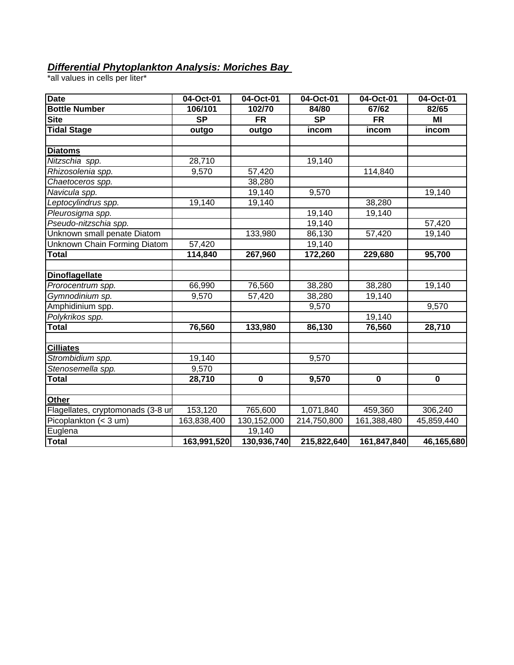## *Differential Phytoplankton Analysis: Moriches Bay*

\*all values in cells per liter\*

| <b>Date</b>                       | 04-Oct-01              | 04-Oct-01   | 04-Oct-01   | 04-Oct-01   | 04-Oct-01  |
|-----------------------------------|------------------------|-------------|-------------|-------------|------------|
| <b>Bottle Number</b>              | 106/101                | 102/70      | 84/80       | 67/62       | 82/65      |
| <b>Site</b>                       | $\overline{\text{SP}}$ | <b>FR</b>   | <b>SP</b>   | <b>FR</b>   | MI         |
| <b>Tidal Stage</b>                | outgo                  | outgo       | incom       | incom       | incom      |
|                                   |                        |             |             |             |            |
| <b>Diatoms</b>                    |                        |             |             |             |            |
| Nitzschia spp.                    | 28,710                 |             | 19,140      |             |            |
| Rhizosolenia spp.                 | 9,570                  | 57,420      |             | 114,840     |            |
| Chaetoceros spp.                  |                        | 38,280      |             |             |            |
| Navicula spp.                     |                        | 19,140      | 9,570       |             | 19,140     |
| Leptocylindrus spp.               | 19,140                 | 19,140      |             | 38,280      |            |
| Pleurosigma spp.                  |                        |             | 19,140      | 19,140      |            |
| Pseudo-nitzschia spp.             |                        |             | 19,140      |             | 57,420     |
| Unknown small penate Diatom       |                        | 133,980     | 86,130      | 57,420      | 19,140     |
| Unknown Chain Forming Diatom      | 57,420                 |             | 19,140      |             |            |
| <b>Total</b>                      | 114,840                | 267,960     | 172,260     | 229,680     | 95,700     |
|                                   |                        |             |             |             |            |
| <b>Dinoflagellate</b>             |                        |             |             |             |            |
| Prorocentrum spp.                 | 66,990                 | 76,560      | 38,280      | 38,280      | 19,140     |
| Gymnodinium sp.                   | 9,570                  | 57,420      | 38,280      | 19,140      |            |
| Amphidinium spp.                  |                        |             | 9,570       |             | 9,570      |
| Polykrikos spp.                   |                        |             |             | 19,140      |            |
| <b>Total</b>                      | 76,560                 | 133,980     | 86,130      | 76,560      | 28,710     |
|                                   |                        |             |             |             |            |
| <b>Cilliates</b>                  |                        |             |             |             |            |
| Strombidium spp.                  | 19,140                 |             | 9,570       |             |            |
| Stenosemella spp.                 | 9,570                  |             |             |             |            |
| <b>Total</b>                      | 28,710                 | $\mathbf 0$ | 9,570       | $\mathbf 0$ | 0          |
|                                   |                        |             |             |             |            |
| Other                             |                        |             |             |             |            |
| Flagellates, cryptomonads (3-8 ur | 153,120                | 765,600     | 1,071,840   | 459,360     | 306,240    |
| Picoplankton (< 3 um)             | 163,838,400            | 130,152,000 | 214,750,800 | 161,388,480 | 45,859,440 |
| Euglena                           |                        | 19,140      |             |             |            |
| <b>Total</b>                      | 163,991,520            | 130,936,740 | 215,822,640 | 161,847,840 | 46,165,680 |